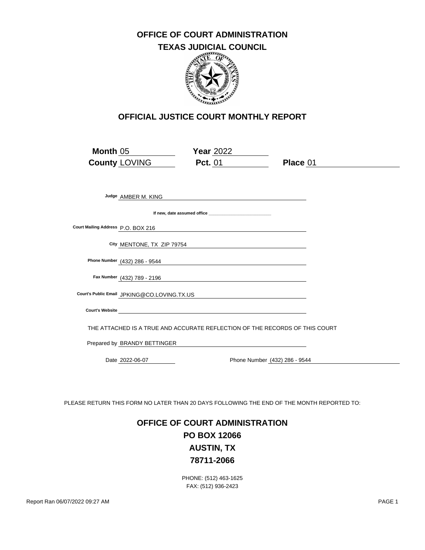#### **OFFICE OF COURT ADMINISTRATION**

### **TEXAS JUDICIAL COUNCIL**



#### **OFFICIAL JUSTICE COURT MONTHLY REPORT**

| Month 05                           | <b>County LOVING</b>         | <b>Year 2022</b><br><b>Pct.</b> 01                                                                                                                                                                                                   | <b>Place 01</b> |
|------------------------------------|------------------------------|--------------------------------------------------------------------------------------------------------------------------------------------------------------------------------------------------------------------------------------|-----------------|
|                                    |                              |                                                                                                                                                                                                                                      |                 |
|                                    | Judge AMBER M. KING          |                                                                                                                                                                                                                                      |                 |
|                                    |                              |                                                                                                                                                                                                                                      |                 |
| Court Mailing Address P.O. BOX 216 |                              |                                                                                                                                                                                                                                      |                 |
|                                    |                              | City MENTONE, TX ZIP 79754                                                                                                                                                                                                           |                 |
|                                    |                              | Phone Number (432) 286 <u>- 9544 [Candidate Control Control Control Control Control Control Control Control Control Control Control Control Control Control Control Control Control Control Control Control Control Control Cont</u> |                 |
|                                    | Fax Number (432) 789 - 2196  |                                                                                                                                                                                                                                      |                 |
|                                    |                              | Court's Public Email JPKING@CO.LOVING.TX.US                                                                                                                                                                                          |                 |
|                                    |                              | Court's Website                                                                                                                                                                                                                      |                 |
|                                    |                              | THE ATTACHED IS A TRUE AND ACCURATE REFLECTION OF THE RECORDS OF THIS COURT                                                                                                                                                          |                 |
|                                    | Prepared by BRANDY BETTINGER |                                                                                                                                                                                                                                      |                 |
|                                    | Date 2022-06-07              | Phone Number (432) 286 - 9544                                                                                                                                                                                                        |                 |

PLEASE RETURN THIS FORM NO LATER THAN 20 DAYS FOLLOWING THE END OF THE MONTH REPORTED TO:

# **OFFICE OF COURT ADMINISTRATION PO BOX 12066 AUSTIN, TX 78711-2066**

PHONE: (512) 463-1625 FAX: (512) 936-2423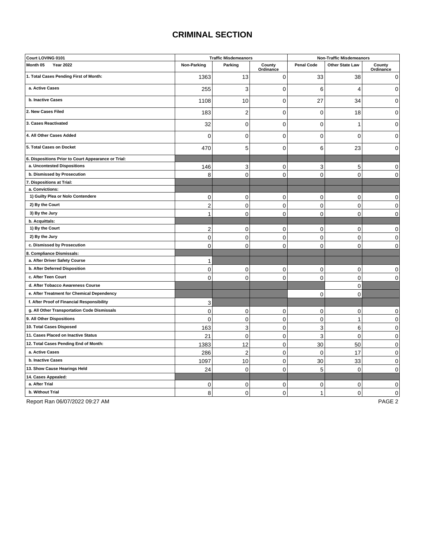## **CRIMINAL SECTION**

| Court LOVING 0101                                   | <b>Traffic Misdemeanors</b> |                | <b>Non-Traffic Misdemeanors</b> |                   |                 |                     |
|-----------------------------------------------------|-----------------------------|----------------|---------------------------------|-------------------|-----------------|---------------------|
| Month 05<br><b>Year 2022</b>                        | Non-Parking                 | Parking        | County<br>Ordinance             | <b>Penal Code</b> | Other State Law | County<br>Ordinance |
| 1. Total Cases Pending First of Month:              | 1363                        | 13             | 0                               | 33                | 38              | 0                   |
| a. Active Cases                                     | 255                         | 3              | 0                               | 6                 | 4               | 0                   |
| b. Inactive Cases                                   | 1108                        | 10             | 0                               | 27                | 34              | 0                   |
| 2. New Cases Filed                                  | 183                         | $\overline{2}$ | 0                               | $\mathbf 0$       | 18              | 0                   |
| 3. Cases Reactivated                                | 32                          | $\mathbf 0$    | $\overline{0}$                  | $\mathbf 0$       | $\mathbf{1}$    | 0                   |
| 4. All Other Cases Added                            | $\Omega$                    | $\mathbf 0$    | $\overline{0}$                  | 0                 | $\Omega$        | 0                   |
| 5. Total Cases on Docket                            | 470                         | 5              | $\mathbf 0$                     | 6                 | 23              | $\Omega$            |
| 6. Dispositions Prior to Court Appearance or Trial: |                             |                |                                 |                   |                 |                     |
| a. Uncontested Dispositions                         | 146                         | 3              | 0                               | 3                 | 5               | 0                   |
| b. Dismissed by Prosecution                         | 8                           | $\overline{0}$ | $\Omega$                        | $\overline{0}$    | $\mathbf 0$     | 0                   |
| 7. Dispositions at Trial:                           |                             |                |                                 |                   |                 |                     |
| a. Convictions:                                     |                             |                |                                 |                   |                 |                     |
| 1) Guilty Plea or Nolo Contendere                   | $\mathbf 0$                 | $\mathbf 0$    | 0                               | $\mathbf 0$       | $\mathbf 0$     | 0                   |
| 2) By the Court                                     | $\overline{2}$              | $\mathbf 0$    | 0                               | $\mathbf 0$       | $\mathbf 0$     | $\mathbf 0$         |
| 3) By the Jury                                      | $\mathbf{1}$                | $\mathbf 0$    | $\overline{0}$                  | 0                 | $\mathbf 0$     | 0                   |
| b. Acquittals:                                      |                             |                |                                 |                   |                 |                     |
| 1) By the Court                                     | $\overline{\mathbf{c}}$     | $\mathbf 0$    | 0                               | $\mathbf{0}$      | $\mathbf 0$     | 0                   |
| 2) By the Jury                                      | $\mathbf 0$                 | $\overline{0}$ | 0                               | 0                 | $\mathbf 0$     | $\Omega$            |
| c. Dismissed by Prosecution                         | $\mathbf 0$                 | $\mathbf 0$    | 0                               | 0                 | $\mathbf 0$     | 0                   |
| 8. Compliance Dismissals:                           |                             |                |                                 |                   |                 |                     |
| a. After Driver Safety Course                       | 1                           |                |                                 |                   |                 |                     |
| b. After Deferred Disposition                       | $\mathbf 0$                 | $\mathbf 0$    | 0                               | $\mathbf 0$       | $\mathbf 0$     | $\mathbf 0$         |
| c. After Teen Court                                 | $\mathbf 0$                 | $\overline{0}$ | 0                               | $\mathbf 0$       | $\mathbf 0$     | 0                   |
| d. After Tobacco Awareness Course                   |                             |                |                                 |                   | $\mathbf 0$     |                     |
| e. After Treatment for Chemical Dependency          |                             |                |                                 | $\mathbf 0$       | $\mathbf 0$     |                     |
| f. After Proof of Financial Responsibility          | 3                           |                |                                 |                   |                 |                     |
| g. All Other Transportation Code Dismissals         | $\mathbf 0$                 | $\mathbf 0$    | 0                               | $\mathbf 0$       | $\mathbf 0$     | 0                   |
| 9. All Other Dispositions                           | $\mathbf 0$                 | $\mathbf 0$    | 0                               | 0                 | 1               | $\mathbf 0$         |
| 10. Total Cases Disposed                            | 163                         | 3              | 0                               | 3                 | 6               | 0                   |
| 11. Cases Placed on Inactive Status                 | 21                          | $\mathbf 0$    | 0                               | 3                 | $\mathbf 0$     | 0                   |
| 12. Total Cases Pending End of Month:               |                             |                |                                 |                   |                 |                     |
| a. Active Cases                                     | 1383                        | 12             | 0                               | 30                | 50              | 0                   |
|                                                     | 286                         | $\overline{c}$ | 0                               | $\mathbf 0$       | 17              | 0                   |
| b. Inactive Cases                                   | 1097                        | 10             | $\overline{0}$                  | 30                | 33              | $\mathbf 0$         |
| 13. Show Cause Hearings Held                        | 24                          | $\mathbf 0$    | 0                               | 5                 | $\mathbf 0$     | 0                   |
| 14. Cases Appealed:                                 |                             |                |                                 |                   |                 |                     |
| a. After Trial                                      | 0                           | 0              | 0                               | 0                 | 0               | 0                   |
| b. Without Trial                                    | 8                           | $\overline{0}$ | $\overline{0}$                  | 1                 | $\mathbf 0$     | 0                   |

Report Ran 06/07/2022 09:27 AM PAGE 2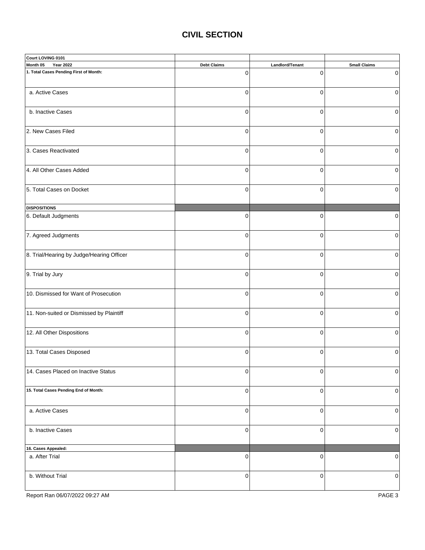#### **CIVIL SECTION**

| Court LOVING 0101                         |                    |                 |                     |
|-------------------------------------------|--------------------|-----------------|---------------------|
| Month 05<br><b>Year 2022</b>              | <b>Debt Claims</b> | Landlord/Tenant | <b>Small Claims</b> |
| 1. Total Cases Pending First of Month:    | 0                  | $\Omega$        | 0                   |
| a. Active Cases                           | $\mathbf 0$        | $\mathbf 0$     | $\mathbf 0$         |
| b. Inactive Cases                         | $\pmb{0}$          | $\pmb{0}$       | 0                   |
| 2. New Cases Filed                        | $\mathbf 0$        | $\mathbf 0$     | $\mathbf 0$         |
| 3. Cases Reactivated                      | $\mathbf 0$        | $\mathbf 0$     | $\mathbf 0$         |
| 4. All Other Cases Added                  | $\pmb{0}$          | $\pmb{0}$       | $\mathbf 0$         |
| 5. Total Cases on Docket                  | $\mathbf 0$        | $\mathbf 0$     | $\mathbf 0$         |
| <b>DISPOSITIONS</b>                       |                    |                 |                     |
| 6. Default Judgments                      | $\mathbf 0$        | $\mathbf 0$     | $\Omega$            |
| 7. Agreed Judgments                       | $\mathbf 0$        | $\mathbf 0$     | 0                   |
| 8. Trial/Hearing by Judge/Hearing Officer | $\mathbf 0$        | $\mathbf 0$     | $\mathbf 0$         |
| 9. Trial by Jury                          | $\mathbf 0$        | $\mathbf 0$     | $\Omega$            |
| 10. Dismissed for Want of Prosecution     | $\mathbf 0$        | $\mathbf 0$     | 0                   |
| 11. Non-suited or Dismissed by Plaintiff  | $\mathbf 0$        | $\mathbf 0$     | $\mathbf 0$         |
| 12. All Other Dispositions                | $\mathbf 0$        | $\mathbf 0$     | $\Omega$            |
| 13. Total Cases Disposed                  | $\mathbf 0$        | $\mathbf 0$     | 0                   |
| 14. Cases Placed on Inactive Status       | 0                  | 0               | $\overline{0}$      |
| 15. Total Cases Pending End of Month:     | $\mathbf 0$        | $\mathbf 0$     | $\mathbf 0$         |
| a. Active Cases                           | $\pmb{0}$          | $\mathbf 0$     | $\mathbf 0$         |
| b. Inactive Cases                         | 0                  | $\mathbf 0$     | $\mathbf 0$         |
| 16. Cases Appealed:                       |                    |                 |                     |
| a. After Trial                            | $\mathbf 0$        | $\mathbf 0$     | 0                   |
| b. Without Trial                          | 0                  | $\mathbf 0$     | 0                   |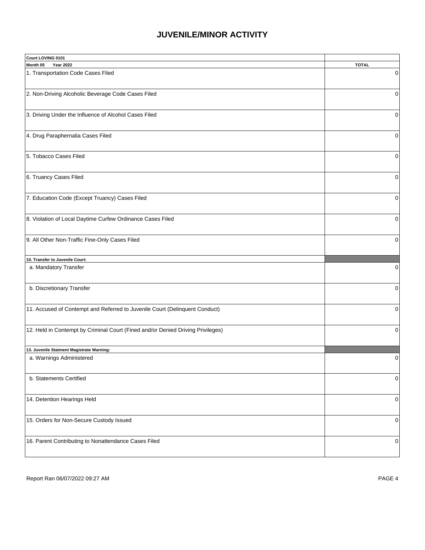### **JUVENILE/MINOR ACTIVITY**

| Court LOVING 0101                                                               |              |
|---------------------------------------------------------------------------------|--------------|
| Month 05<br><b>Year 2022</b>                                                    | <b>TOTAL</b> |
| 1. Transportation Code Cases Filed                                              | 0            |
|                                                                                 |              |
| 2. Non-Driving Alcoholic Beverage Code Cases Filed                              | 0            |
|                                                                                 |              |
|                                                                                 |              |
| 3. Driving Under the Influence of Alcohol Cases Filed                           | 0            |
|                                                                                 |              |
|                                                                                 |              |
| 4. Drug Paraphernalia Cases Filed                                               | 0            |
|                                                                                 |              |
| 5. Tobacco Cases Filed                                                          | 0            |
|                                                                                 |              |
|                                                                                 |              |
| 6. Truancy Cases Filed                                                          | 0            |
|                                                                                 |              |
|                                                                                 |              |
| 7. Education Code (Except Truancy) Cases Filed                                  | 0            |
|                                                                                 |              |
| 8. Violation of Local Daytime Curfew Ordinance Cases Filed                      | 0            |
|                                                                                 |              |
|                                                                                 |              |
| 9. All Other Non-Traffic Fine-Only Cases Filed                                  | 0            |
|                                                                                 |              |
|                                                                                 |              |
| 10. Transfer to Juvenile Court:                                                 |              |
| a. Mandatory Transfer                                                           | $\Omega$     |
|                                                                                 |              |
| b. Discretionary Transfer                                                       | $\Omega$     |
|                                                                                 |              |
|                                                                                 |              |
| 11. Accused of Contempt and Referred to Juvenile Court (Delinquent Conduct)     | $\Omega$     |
|                                                                                 |              |
| 12. Held in Contempt by Criminal Court (Fined and/or Denied Driving Privileges) | $\Omega$     |
|                                                                                 |              |
|                                                                                 |              |
| 13. Juvenile Statment Magistrate Warning:                                       |              |
| a. Warnings Administered                                                        | 0            |
|                                                                                 |              |
| b. Statements Certified                                                         |              |
|                                                                                 | 0            |
|                                                                                 |              |
| 14. Detention Hearings Held                                                     | 0            |
|                                                                                 |              |
|                                                                                 |              |
| 15. Orders for Non-Secure Custody Issued                                        | 0            |
|                                                                                 |              |
|                                                                                 |              |
| 16. Parent Contributing to Nonattendance Cases Filed                            | 0            |
|                                                                                 |              |
|                                                                                 |              |